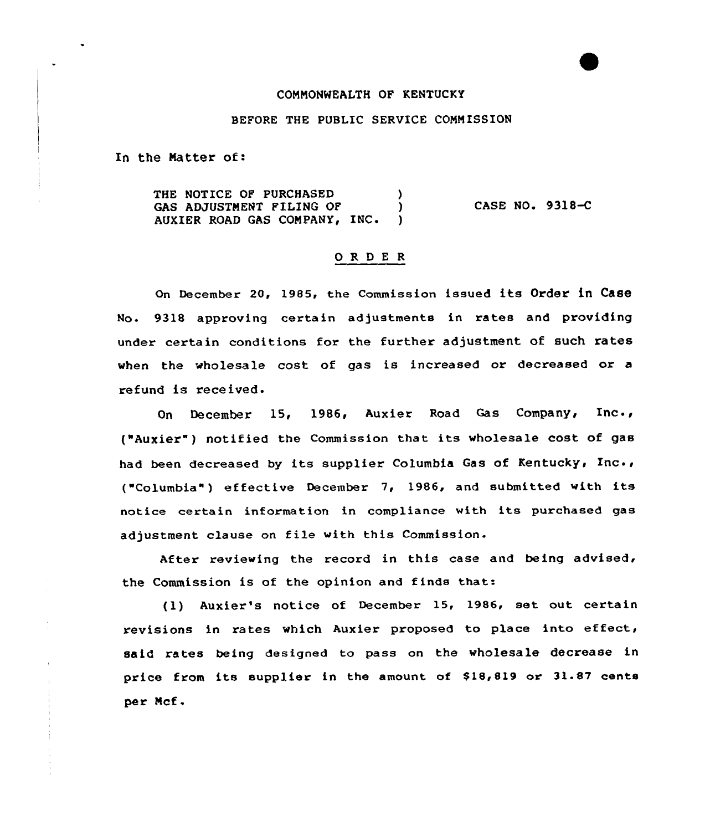## CONNONWEALTH OF KENTUCKY

#### BEFORE THE PUBLIC SERVICE CONNISSION

In the Matter of:

THE NOTICE OF PURCHASED  $)$ GAS ADJUSTMENT FILING OF ) AUXIER ROAD GAS COMPANY, INC. )  $CASE NO. 9318-C$ 

### ORDER

On December 20, 1985, the Commission issued its Order in Case No. 9318 approving certain adjustments in rates and providing under certain conditions for the further adjustment of such rates when the wholesale cost of gas is increased or decreased <mark>or a</mark> refund is received. Ines

On December 15, 1986» Auxier Road Gas Company,  $Inc.,$ ("Auxier") notified the Commission that its wholesale cost of gas had been decreased by its supplier Columb<mark>ia Gas of Kentucky, Inc.</mark>, ("Columbia") effective December 7, 1986, and submitted with its notice certain information in compliance with its purchased gas adjustment clause on file with this Commission.

After reviewing the record in this case and being advised, the Commission is of the opinion and finds that:

{1) Auxier's notice of December 15, 1986» set out certain revisions in rates which Auxier proposed to place into effect, said rates being designed to pass on the wholesale decrease in price from its supplier in the amount of \$18,819 or 31.87 cents per Ncf.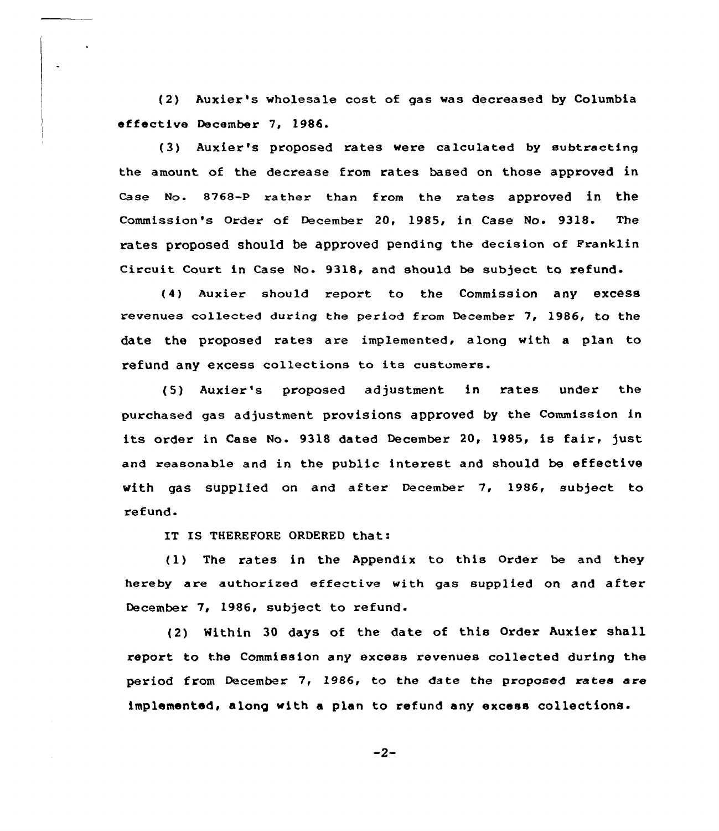{2) Auxier's wholesale cost of gas was decreased by Columbia effective December 7, 1986.

{3) Auxier's proposed rates were calculated by subtracting the amount of the decrease from rates based on those approved in case No- 8768-p rather than from the rates approved in the Commission's Order of December 20, 1985, in Case No. 9318. The rates proposed should be approved pending the decision of Franklin Circuit Court in Case No. 9318, and should be subject to refund.

(4) Auxier should report to the Commission any excess revenues collected during the period from December 7, 1986, to the date the proposed rates are implemented< along with a plan to refund any excess collections to its customers.

{5) Auxier's proposed adjustment in rates under the purchased gas adjustment. provisions approved by the Commission in its order in Case No. 9318 dated December 20, 1985, is fair, just and reasonable and in the public interest and should be effective with gas supplied on and after December 7. 1986, subject to refund.

IT IS THEREFORE ORDERED that:

{1) The rates in the Appendix to this Order be and they hereby are authorized effective with gas supplied on and after December 7, 1986, subject to refund.

{2) Within 30 days of the date of this Order Auxier shall report to the Commission any excess revenues collected during the period from December 7, 1986, to the date the proposed rates are implemented, along with a plan to refund any excess collections.

 $-2-$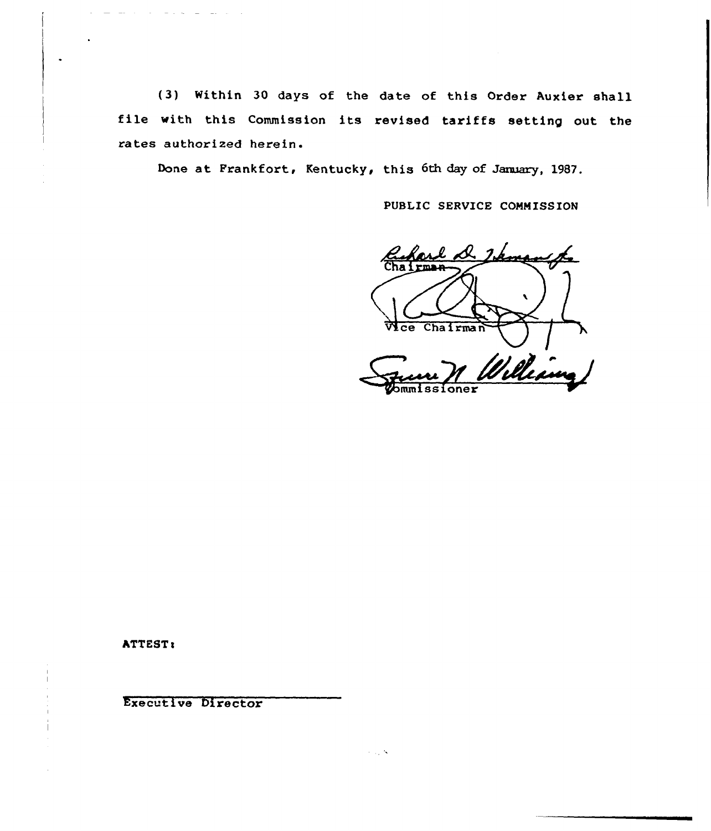(3) Within 30 days of the date of this Order Auxier shall file with this Commission its revised tariffs setting out the rates authorized herein.

Done at Frankfort, Kentucky, this 6th day of January, 1987.

PUBLIC SERVICE COMMISSION

Zeman ko  $Cha1$ rma. Vice Chairman William

ATTEST:

Executive Director